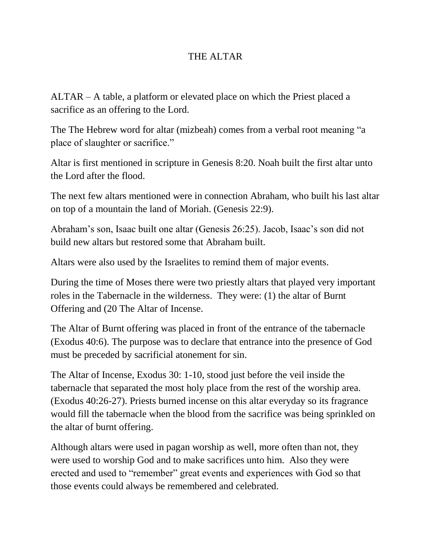## THE ALTAR

ALTAR – A table, a platform or elevated place on which the Priest placed a sacrifice as an offering to the Lord.

The The Hebrew word for altar (mizbeah) comes from a verbal root meaning "a place of slaughter or sacrifice."

Altar is first mentioned in scripture in Genesis 8:20. Noah built the first altar unto the Lord after the flood.

The next few altars mentioned were in connection Abraham, who built his last altar on top of a mountain the land of Moriah. (Genesis 22:9).

Abraham's son, Isaac built one altar (Genesis 26:25). Jacob, Isaac's son did not build new altars but restored some that Abraham built.

Altars were also used by the Israelites to remind them of major events.

During the time of Moses there were two priestly altars that played very important roles in the Tabernacle in the wilderness. They were: (1) the altar of Burnt Offering and (20 The Altar of Incense.

The Altar of Burnt offering was placed in front of the entrance of the tabernacle (Exodus 40:6). The purpose was to declare that entrance into the presence of God must be preceded by sacrificial atonement for sin.

The Altar of Incense, Exodus 30: 1-10, stood just before the veil inside the tabernacle that separated the most holy place from the rest of the worship area. (Exodus 40:26-27). Priests burned incense on this altar everyday so its fragrance would fill the tabernacle when the blood from the sacrifice was being sprinkled on the altar of burnt offering.

Although altars were used in pagan worship as well, more often than not, they were used to worship God and to make sacrifices unto him. Also they were erected and used to "remember" great events and experiences with God so that those events could always be remembered and celebrated.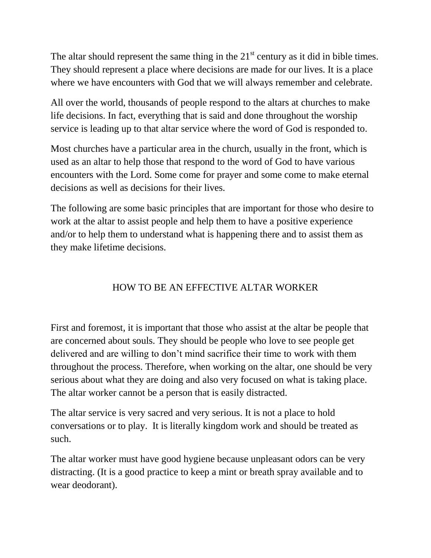The altar should represent the same thing in the  $21<sup>st</sup>$  century as it did in bible times. They should represent a place where decisions are made for our lives. It is a place where we have encounters with God that we will always remember and celebrate.

All over the world, thousands of people respond to the altars at churches to make life decisions. In fact, everything that is said and done throughout the worship service is leading up to that altar service where the word of God is responded to.

Most churches have a particular area in the church, usually in the front, which is used as an altar to help those that respond to the word of God to have various encounters with the Lord. Some come for prayer and some come to make eternal decisions as well as decisions for their lives.

The following are some basic principles that are important for those who desire to work at the altar to assist people and help them to have a positive experience and/or to help them to understand what is happening there and to assist them as they make lifetime decisions.

## HOW TO BE AN EFFECTIVE ALTAR WORKER

First and foremost, it is important that those who assist at the altar be people that are concerned about souls. They should be people who love to see people get delivered and are willing to don't mind sacrifice their time to work with them throughout the process. Therefore, when working on the altar, one should be very serious about what they are doing and also very focused on what is taking place. The altar worker cannot be a person that is easily distracted.

The altar service is very sacred and very serious. It is not a place to hold conversations or to play. It is literally kingdom work and should be treated as such.

The altar worker must have good hygiene because unpleasant odors can be very distracting. (It is a good practice to keep a mint or breath spray available and to wear deodorant).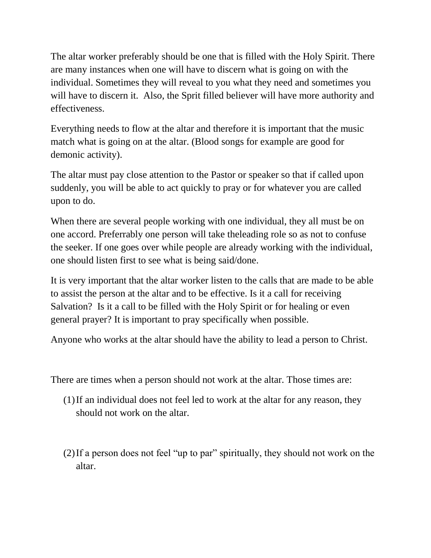The altar worker preferably should be one that is filled with the Holy Spirit. There are many instances when one will have to discern what is going on with the individual. Sometimes they will reveal to you what they need and sometimes you will have to discern it. Also, the Sprit filled believer will have more authority and effectiveness.

Everything needs to flow at the altar and therefore it is important that the music match what is going on at the altar. (Blood songs for example are good for demonic activity).

The altar must pay close attention to the Pastor or speaker so that if called upon suddenly, you will be able to act quickly to pray or for whatever you are called upon to do.

When there are several people working with one individual, they all must be on one accord. Preferrably one person will take theleading role so as not to confuse the seeker. If one goes over while people are already working with the individual, one should listen first to see what is being said/done.

It is very important that the altar worker listen to the calls that are made to be able to assist the person at the altar and to be effective. Is it a call for receiving Salvation? Is it a call to be filled with the Holy Spirit or for healing or even general prayer? It is important to pray specifically when possible.

Anyone who works at the altar should have the ability to lead a person to Christ.

There are times when a person should not work at the altar. Those times are:

- (1)If an individual does not feel led to work at the altar for any reason, they should not work on the altar.
- (2)If a person does not feel "up to par" spiritually, they should not work on the altar.